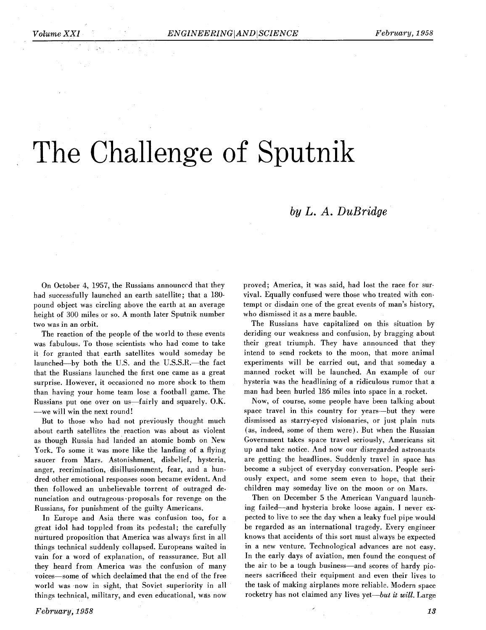# The Challenge of Sputnik

### $by L. A. D u Bridge$

On October 4, 1957, the Russians announced that they had successfully launched an earth satellite; that a **180**  pound object was circling above the earth at an average height of 300 miles or so. A month later Sputnik number two was in an orbit.

The reaction of the people of the world to these events was fabulous. To those scientists who had come to take it for granted that earth satellites would someday be launched-by both the U.S. and the U.S.S.R.-the fact that the Russians launched the first one came as a great surprise. However, it occasioned no more shock to them than having your home team lose a football game. The Russians put one over on us-fairly and squarely. O.K. -we will win the next round!

But to those who had not previously thought much about earth satellites the reaction was about as violent as though Russia had landed an atomic bomb on New York. To some it was more like the landing of a flying saucer from Mars. Astonishment, disbelief, hysteria, anger, recrimination, disillusionment, fear, and a hundred other emotional responses soon became evident. And then followed an unbelievable torrent of outraged denunciation and outrageous-proposals for revenge on the Russians, for punishment of the guilty Americans.

In Europe and Asia there was confusion too, for a great idol had toppled from its pedestal; the carefully nurtured proposition that America was always first in all things technical suddenly collapsed. Europeans waited in vain for a word of explanation, of reassurance. But all they heard from America was the confusion of many voices-some of which declaimed that the end of the free world was now in sight, that Soviet superiority in all things technical, military, and even educational, was now proved; America, it was said, had lost the race for survival. Equally confused were those who treated with contempt or disdain one of the great events of man's history, who dismissed it as a mere bauble.

The Russians have capitalized on this situation by deriding our weakness and confusion, by bragging about their great triumph. They have announced that they intend to send rockets to the moon, that more animal experiments will be carried out, and that someday a manned rocket will be launched. An example of our hysteria was the headlining of a ridiculous rumor that a man had been hurled 186 miles into space in a rocket.

Now, of course, some people have been talking about space travel in this country for years-but they were dismissed as starry-eyed visionaries, or just plain nuts (as, indeed, some of them were). But when the Russian Government takes space travel seriously, Americans sit up and take notice. And now our disregarded astronauts are getting the headlines. Suddenly travel in space has become a subject of everyday conversation. People seriously expect, and some seem even to hope, that their children may someday live on the moon or on Mars.

Then on December 5 the American Vanguard launching failed-and hysteria broke loose again. I never expected to live to see the day when a leaky fuel pipe would be regarded as an international tragedy. Every engineer knows that accidents of this sort must always be expected in a new venture. Technological advances are not easy. In the early days of aviation, men found the conquest of the air to be a tough business-and scores of hardy pioneers sacrificed their equipment and even their lives to the task of making airplanes more reliable. Modern space rocketry has not claimed any lives yet-but it will. Large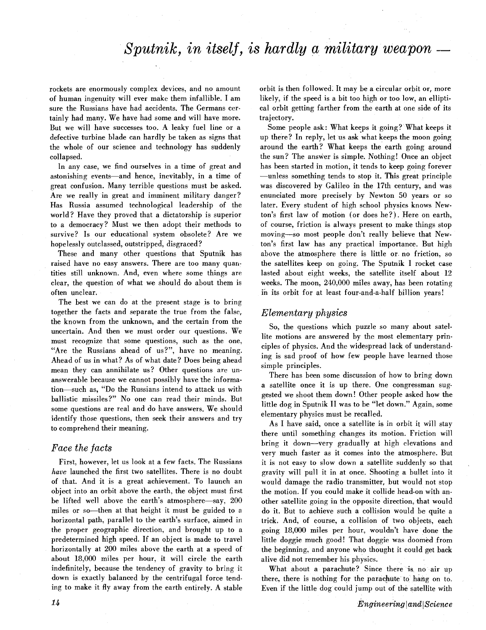## *Sputnik, in itself, is hardly a military weapon* —

rockets are enormously complex devices, and no amount of human ingenuity will ever make them infallible. I am sure the Russians have had accidents. The Germans certainly had many. We have had some and will have more. But we will have successes too. **A** leaky fuel line or a defective turbine blade can hardly be taken as signs that the whole of our science and technology has suddenly collapsed.

In any case, we find ourselves in a time of great and astonishing events—and hence, inevitably, in a time of great confusion. Many terrible questions must be asked. Are we really in great and imminent military danger? Has Russia assumed technological leadership of the world? Have they proved that a dictatorship is superior to a democracy? Must we then adopt their methods to survive? Is our educational system obsolete? Are we hopelessly outclassed, outstripped, disgraced?

These and many other questions that Sputnik has raised have no easy answers. There are too many quantities still unknown. And, even where some things are clear, the question of what we should do about them is often unclear.

The best we can do at the present stage is to bring together the facts and separate the true from the false, the known from the unknown, and the certain from the uncertain. And then we must order our questions. We must recognize that some questions, such as the one, "Are the Russians ahead of us?", have no meaning. Ahead of us in what? As of what date? Does being ahead mean they can annihilate us? Other questions are unanswerable because we cannot possibly have the information-such as, "Do the Russians intend to attack us with ballistic missiles?" No one can read their minds. But some questions are real and do have answers. We should identify those questions, then seek their answers and try to comprehend their meaning.

#### *Face the facts*

First, however, let us look at a few facts. The Russians have launched the first two satellites. There is no doubt of that. And it is a great achievement. To launch an object into an orbit above the earth, the object must first be lifted well above the earth's atmosphere-say, 200 miles or so—then at that height it must be guided to a horizontal path, parallel to the earth's surface, aimed in the proper geographic direction, and brought up to **a**  predetermined high speed. If an object is made to travel horizontally at 200 miles above the earth at a speed of about 18,000 miles per hour, it will circle the earth indefinitely, because the tendency of gravity to bring it down is exactly balanced by the centrifugal force tending to make it fly away from the earth entirely. A stable

orbit is then followed. It may be a circular orbit or, more likely, if the speed is a bit too high or too low, an elliptical orbit getting farther from the earth at one side of its trajectory.

Some people ask: What keeps it going? What keeps it up there? In reply, let us ask what keeps the moon going around the earth? What keeps the earth going around the sun? The answer is simple. Nothing! Once an object has been started in motion, it tends to keep going forever -unless something tends to stop it. This great principle was discovered by Galileo in the 17th century, and was enunciated more precisely by Newton 50 years or so later. Every student of high school physics knows Newton's first law of motion (or does he?). Here on earth, of course, friction is always present to make things stop moving-so most people don't really believe that Newton's first law has any practical importance. But high above the atmosphere there is little or no friction, so the satellites keep on going. The Sputnik I rocket case lasted about eight weeks, the satellite itself about 12 weeks. The moon, 240,000 miles away, has been rotating in its orbit for at least four-and-a-half billion years!

#### Elementary *physics*

So, the questions which puzzle so many about satellite motions are answered by the most elementary principles of physics. And the widespread lack of understanding is sad proof of how few people have learned those simple principles.

There has been some discussion of how to bring down a satellite once it is up there. One congressman suggested we shoot them down! Other people asked how the little dog in Sputnik I1 was to be "let down." Again, some elementary physics must be recalled.

As I have said, once a satellite is in orbit it will stay there until something changes its motion. Friction will bring it down-very gradually at high elevations and very much faster as it comes into the atmosphere. But it is not easy to slow down a satellite suddenly so that gravity will pull it in at once. Shooting a bullet into it would damage the radio transmitter, but would not stop the motion. If you could make it collide head-on with another satellite going in the opposite direction, that would do it. But to achieve such a collision would be quite a trick. And, of course, a collision of two objects, each going 18,000 miles per hour, wouldn't have done the little doggie much good! That doggie was doomed from the beginning, and anyone who thought it could get back alive did not remember his physics.

What about a parachute? Since there is no air up there, there is nothing for the parachute to hang on to. Even if the little dog could jump out of the satellite with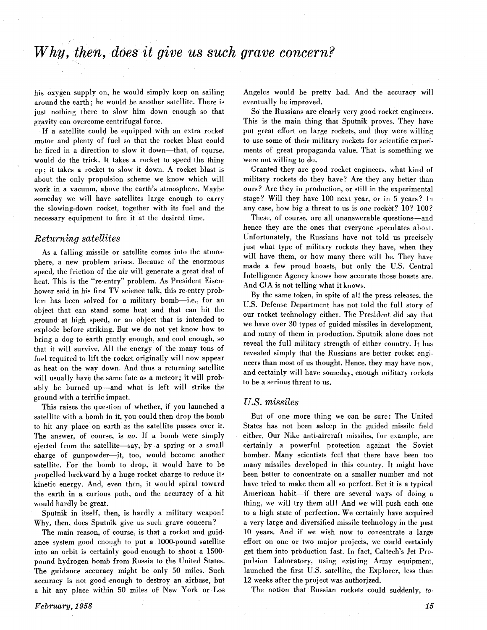his oxygen supply on, he would simply keep on sailing around the earth; he would be another satellite. There is just nothing there to slow him down enough so that gravity can overcome centrifugal force.

If a satellite could be equipped with an extra rocket motor and plenty of fuel so that the rocket blast could be fired in a direction to slow it down-that, of course, would do the trick. It takes a rocket to speed the thing up; it takes a rocket to slow it down. A rocket blast is about the only propulsion scheme we know which will work in a vacuum, above the earth's atmosphere. Maybe someday we will have satellites large enough to carry the slowing-down rocket, together with its fuel and the necessary equipment to fire it at the desired time.

#### *Returning satellites*

As a falling missile or satellite comes into the atmosphere, a new problem arises. Because of the enormous speed, the friction of the air will generate a great deal of heat. This is the "re-entry" problem. As President Eisenhower said in his first TV science talk, this re-entry problem has been solved for a military bomb-i.e., for an object that can stand some heat and that can hit the ground at high speed, or an object that is intended to explode before striking. But we do not yet know how to bring a dog to earth gently enough, and cool enough, so that it will survive. All the energy of the many tons of fuel required to lift the rocket originally will now appear as heat on the way down. And thus a returning satellite will usually have the same fate as a meteor; it will probably be burned up-and what is left will strike the ground with a terrific impact.

This raises the question of whether, if you launched a satellite with a bomb in it, you could then drop the bomb to hit any place on earth as the satellite passes over it. The answer, of course, is no. If a bomb were simply ejected from the satellite-say, by a spring or a small charge of gunpowder-it, too, would become another satellite. For the bomb to drop. it would have to be propelled backward by a huge rocket charge to reduce its kinetic energy. And, even then, it would spiral toward the earth in a curious path, and the accuracy of a hit would hardly be great.

Sputnik in itself, then, is hardly a military weapon! Why, then, does Sputnik give us such grave concern?

The main reason, of course, is that a rocket and guidance system good enough to put a IDOO-pound satellite into an orbit is certainly good enough to shoot *a* 1500 pound hydrogen bomb from Russia to the United States. The guidance accuracy might be only 50 miles. Such accuracy is not good enough to destroy an airbase, but a hit any place within 50 miles of New York or Los

Angeles would be pretty bad. And the accuracy will eventually be improved.

So the Russians are clearly very good rocket engineers. This is the main thing that Sputnik proves. They have put great effort on large rockets, and they were willing to use some of their military rockets for scientific experiments of great propaganda value. That is something we were not willing to do.

Granted they are good rocket engineers, what kind of military rockets do they have? Are they any better than ours? Are they in production, or still in the experimental stage? Will they have 100 next year, or in 5 years? In any case, how big a threat to us is one rocket? 10? 100?

These, of course, are all unanswerable questions-and hence they are the ones that everyone speculates about. Unfortunately, the Russians have not told us precisely just what type of military rockets they have, when they will have them, or how many there will be. They have made a few proud boasts, but only the U.S. Central Intelligence Agency knows how accurate those boasts are. And CIA is not telling what it knows.

By the same token, in spite of all the press releases, the U.S. Defense Department has not told the full story of our rocket technology either. The President did say that we have over 30 types of guided missiles in development, and many of them in production. Sputnik alone does not reveal the full military strength of either country. It has revealed simply that the Russians are better rocket engineers than most of us thought. Hence, they may have now, and certainly will have someday, enough military rockets to be a serious threat to us.

#### *U.S. missiles*

But of one more thing we can be sure: The United States has not been asleep in the guided missile field either. Our Nike anti-aircraft missiles, for example, are certainly a powerful protection against the Soviet bomber. Many scientists feel that there have been too many missiles developed in this country. It might have been better to concentrate on a smaller number and not have tried to make them all so perfect. But it is a typical American habit-if there are several ways of doing a thing, we will try them all! And we will push each one to a high state of perfection. We certainly have acquired a very large and diversified missile technology in the past 10 years. And if we wish now to concentrate a large effort on one or two major projects, we could certainly get them into production fast. In fact, Caltech's Jet Propulsion Laboratory, using existing Army equipment, launched the first U.S. satellite, the Explorer, less than 12 weeks after the project was authorized.

The notion that Russian rockets could suddenly, *to-*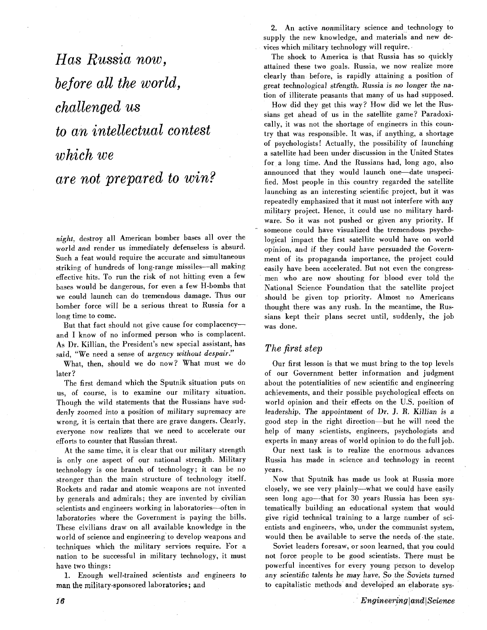*Has Russia now, before all the world, challenged us to an intellectual contest*  **which** *we are not prepared to win?* 

**night,** destroy all American bomber bases all over the world and render us immediately defenseless is absurd. Such a feat would require the accurate and simultaneous striking of hundreds of long-range missiles-all making effective hits. To run the risk of not hitting even a few bases would be dangerous, for even a few H-bombs that we could launch can do tremendous damage. Thus our bomber force will be a serious threat to Russia for **a**  long time to come.

But that fact should not give cause for complacencyand I know of no informed person who is complacent. As Dr. Killian, the President's new special assistant, has said, "We need a sense of urgency without despair."

What, then, should we do now? What must we do later?

The first demand which the Sputnik situation puts on us, of course, is to examine our military situation. Though the wild statements that the Russians have suddenly zoomed into a position of military supremacy are wrong, it is certain that there are grave dangers. Clearly, everyone now realizes that we need to accelerate our efforts to counter that Russian threat.

At the same time, it is clear that our military strength is only one aspect of our national strength. Military technology is one branch of technology; it can be no stronger than the main structure of technology itself. Rockets and radar and atomic weapons are not invented by generals and admirals; they are invented by civilian scientists and engineers working in laboratories-often in laboratories where the Government is paying the bills. These civilians draw on all available knowledge in the world of science and engineering to develop weapons and techniques which the military services require. For a nation to be successful in military technology, it must have two things :

1. Enough well-trained scientists and engineers to man the military-sponsored laboratories; and

2. **An** active nonmilitary science and technology to supply the new knowledge, and materials and new devices which military technology will require.

The shock to America is that Russia has so quickly attained these two goals. Russia, we now realize more clearly than before, is rapidly attaining a position of great technological strength. Russia is no longer the nation of illiterate peasants that many of us had supposed.

How did they get this way? How did we let the Russians get ahead of us in the satellite game? Paradoxically, it was not the shortage of engineers in this country that was responsible. It was, if anything, a shortage of psychologists! Actually, the possibility of launching a satellite had been under discussion in the United States for a long time. And the Russians had, long ago, also announced that they would launch one-date unspecified. Most people in this country regarded the satellite launching as an interesting scientific project, but it was repeatedly emphasized that it must not interfere with any military project. Hence, it could use no military hardware. So it was not pushed or given any priority. If someone could have visualized the tremendous psychological impact the first satellite would have on world opinion, and if they could have persuaded the Government of its propaganda importance, the project could easily have been accelerated. But not even the congressmen who are now shouting for blood ever told the National Science Foundation that the satellite project should be given top priority. Almost no Americans thought there was any rush. In the meantime, the Russians kept their plans secret until, suddenly, the job was done.

#### *The first step*

Our first lesson is that we must bring to the top levels of our Government better information and judgment about the potentialities of new scientific and engineering achievements, and their possible psychological effects on world opinion and their effects on the U.S. position of leadership. The appointment of Dr. J. R. Killian is a good step in the right direction-but he will need the help of many scientists, engineers, psychologists and experts in many areas of world opinion to do the full job.

Our next task is to realize the enormous advances Russia has made in science and technology in recent years.

Now that Sputnik has made us look at Russia more closely, we see very plainly-what we could have easily seen long ago-that for 30 years Russia has been systematically building an educational system that would give rigid technical training to a large number of scientists and engineers, who, under the communist system, would then be available to serve the needs of .the state.

Soviet leaders foresaw, or soon learned, that you could not force people to be good scientists. There must be powerful incentives for every young person to develop any scientific talents he may have. So the Soviets turned to capitalistic methods and developed an elaborate sys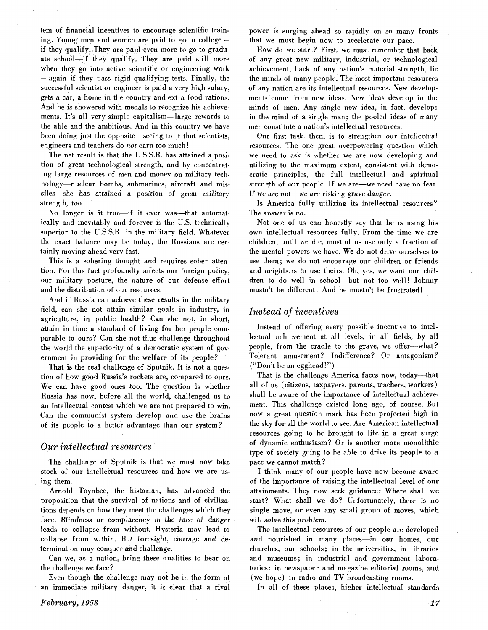tern of financial incentives to encourage scientific training. Young men and women are paid to go to collegeif they qualify. They are paid even more to go to graduate school-if they qualify. They are paid still more when they go into active scientific or engineering work -again if they pass rigid qualifying tests. Finally, the successful scientist or engineer is paid a very high salary, gets a car, a home in the country and extra food rations. And he is showered with medals to recognize his achievements. It's all very simple capitalism-large rewards to the able and the ambitious. And in this country we have been doing just the opposite—seeing to it that scientists, engineers and teachers do not earn too much !

The net result is that the U.S.S.R. has attained a position of great technological strength, and by concentrating large resources of men and money on military technology-nuclear bombs, submarines, aircraft and missiles-she has attained a position of great military strength, too.

No longer is it true—if it ever was—that automatically and inevitably and forever is the U.S. technically superior to the U.S.S.R. in the military field. Whatever the exact balance may be today, the Russians are certainly moving ahead very fast.

This is a sobering thought and requires sober attention. For this fact profoundly affects our foreign policy, our military posture, the nature of our defense effort and the distribution of our resources.

And if Russia can achieve these results in the military field, can she not attain similar goals in industry, in agriculture, in public health? Can she not, in short, attain in time a standard of living for her people comparable to ours? Can she not thus challenge throughout the world the superiority of a democratic system of government in providing for the welfare of its people?

That is the real challenge of Sputnik. It is not a question of how good Russia's rockets are, compared to ours. We can have good ones too. The question is whether Russia has now, before all the world, challenged us to an intellectual contest which we are not prepared to win. Can the communist system develop and use the brains of its people to a better advantage than our system?

#### *Our intellectual resources*

The challenge of Sputnik is that we must now take stock of our intellectual resources and how we are using them.

Arnold Toynbee, the historian, has advanced the proposition that the survival of nations and of civilizations depends on how they meet the challenges which they face. Blindness or complacency in the face of danger leads to collapse from without. Hysteria may lead to collapse from within. But foresight, courage and determination may conquer and challenge.

Can we, as a nation, bring these qualities to bear on the challenge we face?

Even though the challenge may not be in the form of an immediate military danger, it is clear that a rival

power is surging ahead so rapidly on so many fronts that we must begin now to accelerate our pace.

How do we start? First, we must remember that back of any great new military, industrial, or technological achievement, back of any nation's material strength, lie the minds of many people. The most important resources of any nation are its intellectual resources. New developments come from new ideas. New ideas develop in the minds of men. Any single new idea, in fact, develops in the mind of a single man; the pooled ideas of many men constitute a nation's intellectual resources.

Our first task, then, is to strengthen our intellectual resources. The one great overpowering question which we need to ask is whether we are now developing and utilizing to the maximum extent, consistent with democratic principles, the full intellectual and spiritual strength of our people. If we are--we need have no fear. If we are not-we are risking grave danger.

Is America fully utilizing its intellectual resources? The answer is no.

Not one of us can honestly say that he is using his own intellectual resources fully. From the time we are children, until we die, most of us use only a fraction of the mental powers we have. We do not drive ourselves to use them; we do not encourage our children or friends and neighbors to use theirs. Oh, yes, we want our children to do well in school-but not too well! Johnny mustn't be different! And he mustn't be frustrated!

#### *Instead of incentives*

Instead of offering every possible incentive to intellectual achievement at all levels, in all fields, by all people, from the cradle to the grave, we offer--what? Tolerant amusement? Indifference? Or antagonism? ("Don't be an egghead!")

That is the challenge America faces now, today-that all of us (citizens, taxpayers, parents, teachers, workers) shall be aware of the importance of intellectual achievement. This challenge existed long ago, of course. But now a great question mark has been projected high in the sky for all the world to see. Are American intellectual resources going to be brought to life in a great surge of dynamic enthusiasm? Or is another more monolithic type of society going to he able to drive its people to **a**  pace we cannot match?

I think many of our people have now become aware of the importance of raising the intellectual level of our attainments. They now seek guidance: Where shall we start? What shall we do? Unfortunately, there is no single move, or even any small group of moves, which will solve this problem.

The intellectual resources of our people are developed and nourished in many places-in our homes, our churches, our schools; in the universities, in libraries and museums; in industrial and government laboratories; in newspaper and magazine editorial rooms, and (we hope) in radio and TV broadcasting rooms.

In all of these places, higher intellectual standards